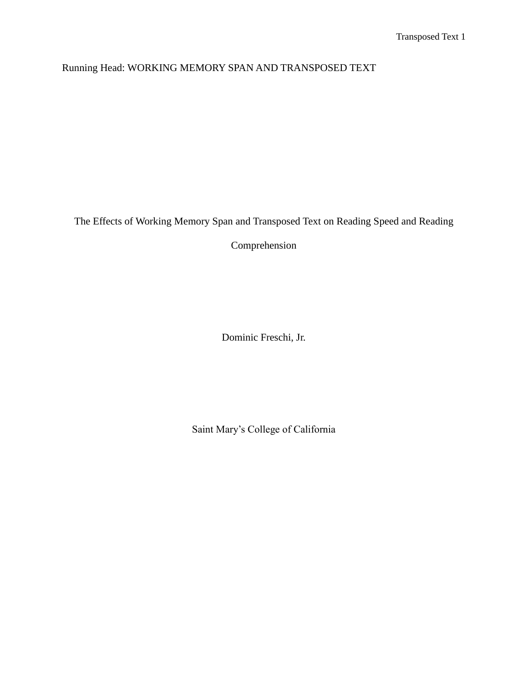Running Head: WORKING MEMORY SPAN AND TRANSPOSED TEXT

The Effects of Working Memory Span and Transposed Text on Reading Speed and Reading

Comprehension

Dominic Freschi, Jr.

Saint Mary's College of California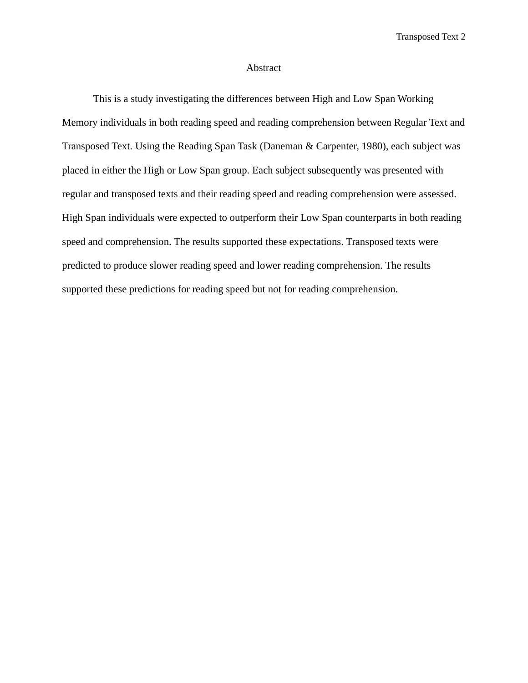#### Abstract

This is a study investigating the differences between High and Low Span Working Memory individuals in both reading speed and reading comprehension between Regular Text and Transposed Text. Using the Reading Span Task (Daneman & Carpenter, 1980), each subject was placed in either the High or Low Span group. Each subject subsequently was presented with regular and transposed texts and their reading speed and reading comprehension were assessed. High Span individuals were expected to outperform their Low Span counterparts in both reading speed and comprehension. The results supported these expectations. Transposed texts were predicted to produce slower reading speed and lower reading comprehension. The results supported these predictions for reading speed but not for reading comprehension.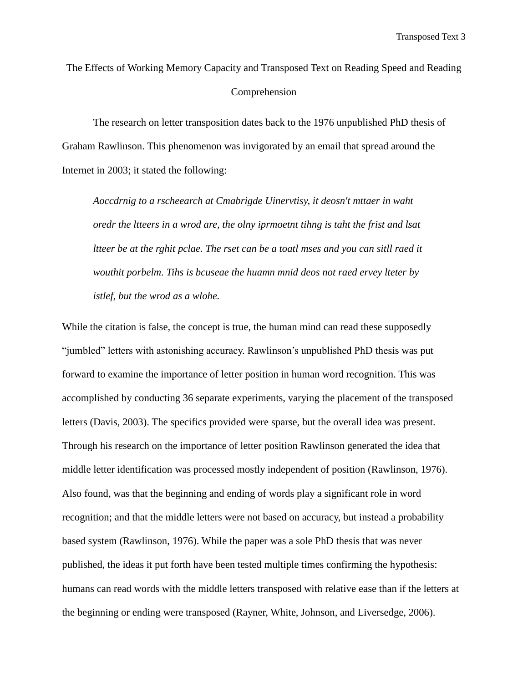The Effects of Working Memory Capacity and Transposed Text on Reading Speed and Reading Comprehension

The research on letter transposition dates back to the 1976 unpublished PhD thesis of Graham Rawlinson. This phenomenon was invigorated by an email that spread around the Internet in 2003; it stated the following:

*Aoccdrnig to a rscheearch at Cmabrigde Uinervtisy, it deosn't mttaer in waht oredr the ltteers in a wrod are, the olny iprmoetnt tihng is taht the frist and lsat ltteer be at the rghit pclae. The rset can be a toatl mses and you can sitll raed it wouthit porbelm. Tihs is bcuseae the huamn mnid deos not raed ervey lteter by istlef, but the wrod as a wlohe.* 

While the citation is false, the concept is true, the human mind can read these supposedly "jumbled" letters with astonishing accuracy. Rawlinson's unpublished PhD thesis was put forward to examine the importance of letter position in human word recognition. This was accomplished by conducting 36 separate experiments, varying the placement of the transposed letters (Davis, 2003). The specifics provided were sparse, but the overall idea was present. Through his research on the importance of letter position Rawlinson generated the idea that middle letter identification was processed mostly independent of position (Rawlinson, 1976). Also found, was that the beginning and ending of words play a significant role in word recognition; and that the middle letters were not based on accuracy, but instead a probability based system (Rawlinson, 1976). While the paper was a sole PhD thesis that was never published, the ideas it put forth have been tested multiple times confirming the hypothesis: humans can read words with the middle letters transposed with relative ease than if the letters at the beginning or ending were transposed (Rayner, White, Johnson, and Liversedge, 2006).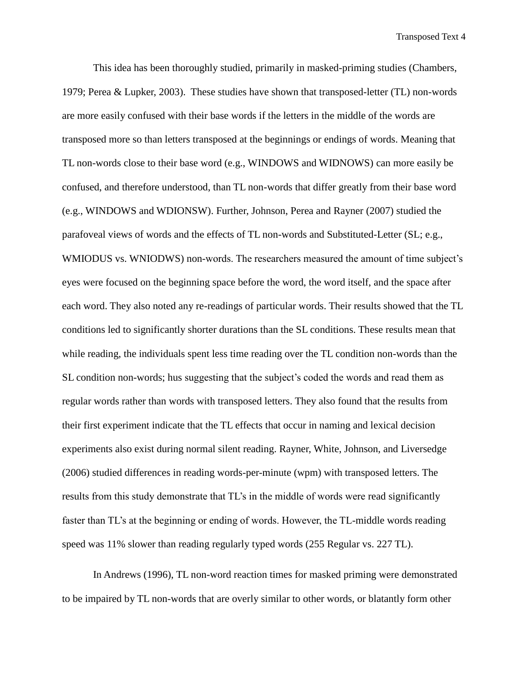This idea has been thoroughly studied, primarily in masked-priming studies (Chambers, 1979; Perea & Lupker, 2003). These studies have shown that transposed-letter (TL) non-words are more easily confused with their base words if the letters in the middle of the words are transposed more so than letters transposed at the beginnings or endings of words. Meaning that TL non-words close to their base word (e.g., WINDOWS and WIDNOWS) can more easily be confused, and therefore understood, than TL non-words that differ greatly from their base word (e.g., WINDOWS and WDIONSW). Further, Johnson, Perea and Rayner (2007) studied the parafoveal views of words and the effects of TL non-words and Substituted-Letter (SL; e.g., WMIODUS vs. WNIODWS) non-words. The researchers measured the amount of time subject's eyes were focused on the beginning space before the word, the word itself, and the space after each word. They also noted any re-readings of particular words. Their results showed that the TL conditions led to significantly shorter durations than the SL conditions. These results mean that while reading, the individuals spent less time reading over the TL condition non-words than the SL condition non-words; hus suggesting that the subject's coded the words and read them as regular words rather than words with transposed letters. They also found that the results from their first experiment indicate that the TL effects that occur in naming and lexical decision experiments also exist during normal silent reading. Rayner, White, Johnson, and Liversedge (2006) studied differences in reading words-per-minute (wpm) with transposed letters. The results from this study demonstrate that TL's in the middle of words were read significantly faster than TL's at the beginning or ending of words. However, the TL-middle words reading speed was 11% slower than reading regularly typed words (255 Regular vs. 227 TL).

In Andrews (1996), TL non-word reaction times for masked priming were demonstrated to be impaired by TL non-words that are overly similar to other words, or blatantly form other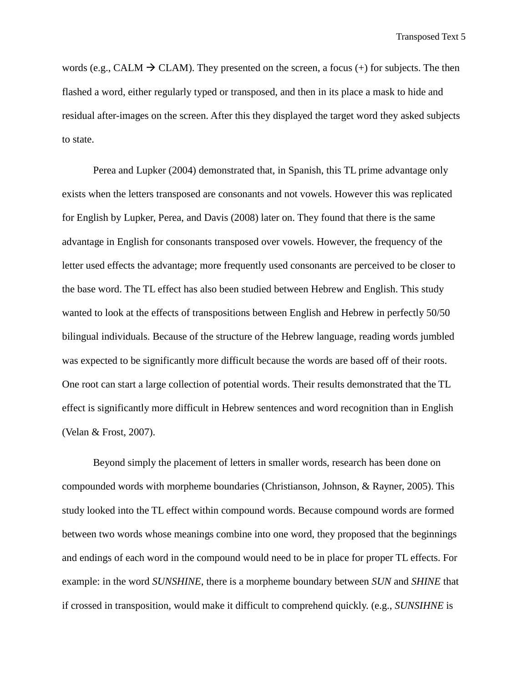words (e.g., CALM  $\rightarrow$  CLAM). They presented on the screen, a focus (+) for subjects. The then flashed a word, either regularly typed or transposed, and then in its place a mask to hide and residual after-images on the screen. After this they displayed the target word they asked subjects to state.

Perea and Lupker (2004) demonstrated that, in Spanish, this TL prime advantage only exists when the letters transposed are consonants and not vowels. However this was replicated for English by Lupker, Perea, and Davis (2008) later on. They found that there is the same advantage in English for consonants transposed over vowels. However, the frequency of the letter used effects the advantage; more frequently used consonants are perceived to be closer to the base word. The TL effect has also been studied between Hebrew and English. This study wanted to look at the effects of transpositions between English and Hebrew in perfectly 50/50 bilingual individuals. Because of the structure of the Hebrew language, reading words jumbled was expected to be significantly more difficult because the words are based off of their roots. One root can start a large collection of potential words. Their results demonstrated that the TL effect is significantly more difficult in Hebrew sentences and word recognition than in English (Velan & Frost, 2007).

Beyond simply the placement of letters in smaller words, research has been done on compounded words with morpheme boundaries (Christianson, Johnson, & Rayner, 2005). This study looked into the TL effect within compound words. Because compound words are formed between two words whose meanings combine into one word, they proposed that the beginnings and endings of each word in the compound would need to be in place for proper TL effects. For example: in the word *SUNSHINE*, there is a morpheme boundary between *SUN* and *SHINE* that if crossed in transposition, would make it difficult to comprehend quickly. (e.g., *SUNSIHNE* is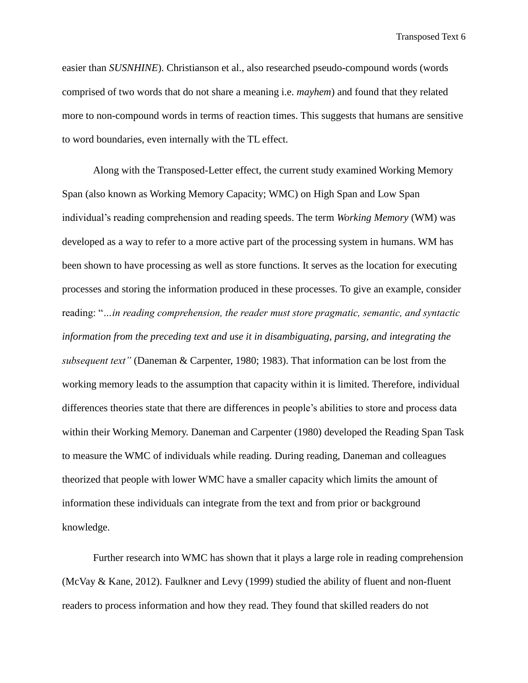easier than *SUSNHINE*). Christianson et al., also researched pseudo-compound words (words comprised of two words that do not share a meaning i.e. *mayhem*) and found that they related more to non-compound words in terms of reaction times. This suggests that humans are sensitive to word boundaries, even internally with the TL effect.

Along with the Transposed-Letter effect, the current study examined Working Memory Span (also known as Working Memory Capacity; WMC) on High Span and Low Span individual's reading comprehension and reading speeds. The term *Working Memory* (WM) was developed as a way to refer to a more active part of the processing system in humans. WM has been shown to have processing as well as store functions. It serves as the location for executing processes and storing the information produced in these processes. To give an example, consider reading: "*…in reading comprehension, the reader must store pragmatic, semantic, and syntactic information from the preceding text and use it in disambiguating, parsing, and integrating the subsequent text"* (Daneman & Carpenter, 1980; 1983). That information can be lost from the working memory leads to the assumption that capacity within it is limited. Therefore, individual differences theories state that there are differences in people's abilities to store and process data within their Working Memory. Daneman and Carpenter (1980) developed the Reading Span Task to measure the WMC of individuals while reading. During reading, Daneman and colleagues theorized that people with lower WMC have a smaller capacity which limits the amount of information these individuals can integrate from the text and from prior or background knowledge.

Further research into WMC has shown that it plays a large role in reading comprehension (McVay & Kane, 2012). Faulkner and Levy (1999) studied the ability of fluent and non-fluent readers to process information and how they read. They found that skilled readers do not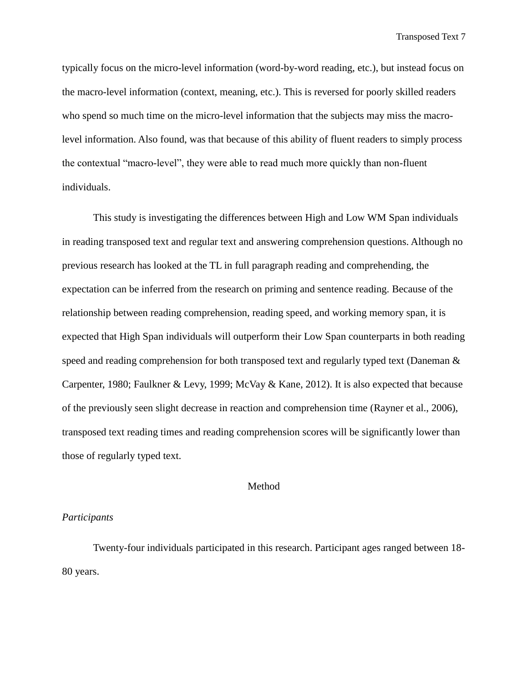typically focus on the micro-level information (word-by-word reading, etc.), but instead focus on the macro-level information (context, meaning, etc.). This is reversed for poorly skilled readers who spend so much time on the micro-level information that the subjects may miss the macrolevel information. Also found, was that because of this ability of fluent readers to simply process the contextual "macro-level", they were able to read much more quickly than non-fluent individuals.

This study is investigating the differences between High and Low WM Span individuals in reading transposed text and regular text and answering comprehension questions. Although no previous research has looked at the TL in full paragraph reading and comprehending, the expectation can be inferred from the research on priming and sentence reading. Because of the relationship between reading comprehension, reading speed, and working memory span, it is expected that High Span individuals will outperform their Low Span counterparts in both reading speed and reading comprehension for both transposed text and regularly typed text (Daneman & Carpenter, 1980; Faulkner & Levy, 1999; McVay & Kane, 2012). It is also expected that because of the previously seen slight decrease in reaction and comprehension time (Rayner et al., 2006), transposed text reading times and reading comprehension scores will be significantly lower than those of regularly typed text.

#### Method

### *Participants*

Twenty-four individuals participated in this research. Participant ages ranged between 18- 80 years.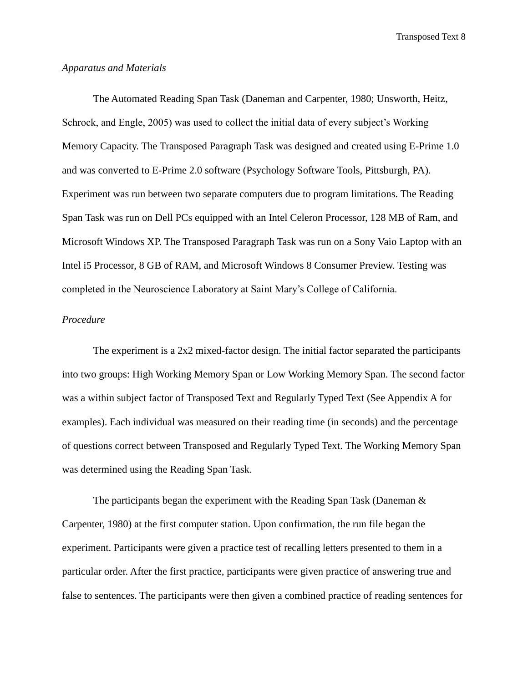### *Apparatus and Materials*

The Automated Reading Span Task (Daneman and Carpenter, 1980; Unsworth, Heitz, Schrock, and Engle, 2005) was used to collect the initial data of every subject's Working Memory Capacity. The Transposed Paragraph Task was designed and created using E-Prime 1.0 and was converted to E-Prime 2.0 software (Psychology Software Tools, Pittsburgh, PA). Experiment was run between two separate computers due to program limitations. The Reading Span Task was run on Dell PCs equipped with an Intel Celeron Processor, 128 MB of Ram, and Microsoft Windows XP. The Transposed Paragraph Task was run on a Sony Vaio Laptop with an Intel i5 Processor, 8 GB of RAM, and Microsoft Windows 8 Consumer Preview. Testing was completed in the Neuroscience Laboratory at Saint Mary's College of California.

### *Procedure*

The experiment is a 2x2 mixed-factor design. The initial factor separated the participants into two groups: High Working Memory Span or Low Working Memory Span. The second factor was a within subject factor of Transposed Text and Regularly Typed Text (See Appendix A for examples). Each individual was measured on their reading time (in seconds) and the percentage of questions correct between Transposed and Regularly Typed Text. The Working Memory Span was determined using the Reading Span Task.

The participants began the experiment with the Reading Span Task (Daneman & Carpenter, 1980) at the first computer station. Upon confirmation, the run file began the experiment. Participants were given a practice test of recalling letters presented to them in a particular order. After the first practice, participants were given practice of answering true and false to sentences. The participants were then given a combined practice of reading sentences for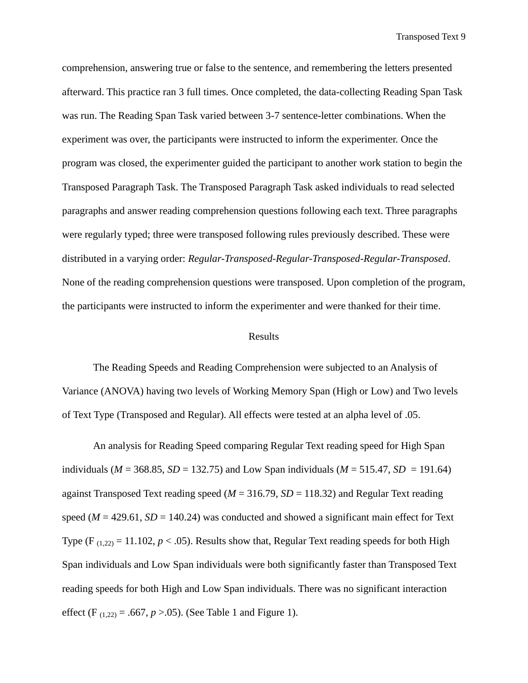comprehension, answering true or false to the sentence, and remembering the letters presented afterward. This practice ran 3 full times. Once completed, the data-collecting Reading Span Task was run. The Reading Span Task varied between 3-7 sentence-letter combinations. When the experiment was over, the participants were instructed to inform the experimenter. Once the program was closed, the experimenter guided the participant to another work station to begin the Transposed Paragraph Task. The Transposed Paragraph Task asked individuals to read selected paragraphs and answer reading comprehension questions following each text. Three paragraphs were regularly typed; three were transposed following rules previously described. These were distributed in a varying order: *Regular-Transposed-Regular-Transposed-Regular-Transposed*. None of the reading comprehension questions were transposed. Upon completion of the program, the participants were instructed to inform the experimenter and were thanked for their time.

#### Results

The Reading Speeds and Reading Comprehension were subjected to an Analysis of Variance (ANOVA) having two levels of Working Memory Span (High or Low) and Two levels of Text Type (Transposed and Regular). All effects were tested at an alpha level of .05.

An analysis for Reading Speed comparing Regular Text reading speed for High Span individuals ( $M = 368.85$ ,  $SD = 132.75$ ) and Low Span individuals ( $M = 515.47$ ,  $SD = 191.64$ ) against Transposed Text reading speed (*M* = 316.79, *SD* = 118.32) and Regular Text reading speed ( $M = 429.61$ ,  $SD = 140.24$ ) was conducted and showed a significant main effect for Text Type (F<sub>(1,22)</sub> = 11.102,  $p < .05$ ). Results show that, Regular Text reading speeds for both High Span individuals and Low Span individuals were both significantly faster than Transposed Text reading speeds for both High and Low Span individuals. There was no significant interaction effect (F<sub>(1,22)</sub> = .667,  $p > 0.05$ ). (See Table 1 and Figure 1).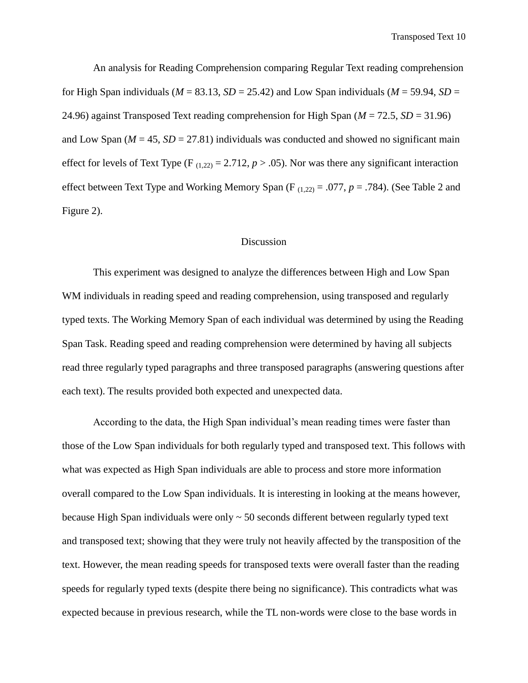An analysis for Reading Comprehension comparing Regular Text reading comprehension for High Span individuals ( $M = 83.13$ ,  $SD = 25.42$ ) and Low Span individuals ( $M = 59.94$ ,  $SD =$ 24.96) against Transposed Text reading comprehension for High Span (*M* = 72.5, *SD* = 31.96) and Low Span ( $M = 45$ ,  $SD = 27.81$ ) individuals was conducted and showed no significant main effect for levels of Text Type (F<sub>(1,22)</sub> = 2.712,  $p > .05$ ). Nor was there any significant interaction effect between Text Type and Working Memory Span (F (1,22) = .077, *p* = .784). (See Table 2 and Figure 2).

### Discussion

This experiment was designed to analyze the differences between High and Low Span WM individuals in reading speed and reading comprehension, using transposed and regularly typed texts. The Working Memory Span of each individual was determined by using the Reading Span Task. Reading speed and reading comprehension were determined by having all subjects read three regularly typed paragraphs and three transposed paragraphs (answering questions after each text). The results provided both expected and unexpected data.

According to the data, the High Span individual's mean reading times were faster than those of the Low Span individuals for both regularly typed and transposed text. This follows with what was expected as High Span individuals are able to process and store more information overall compared to the Low Span individuals. It is interesting in looking at the means however, because High Span individuals were only  $\sim$  50 seconds different between regularly typed text and transposed text; showing that they were truly not heavily affected by the transposition of the text. However, the mean reading speeds for transposed texts were overall faster than the reading speeds for regularly typed texts (despite there being no significance). This contradicts what was expected because in previous research, while the TL non-words were close to the base words in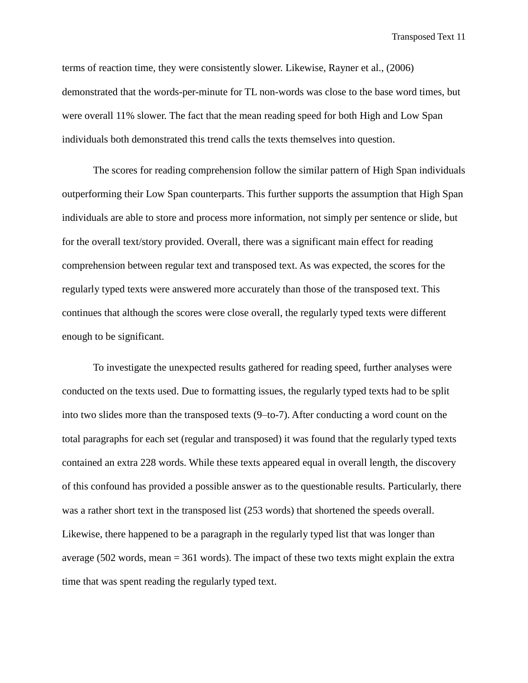terms of reaction time, they were consistently slower. Likewise, Rayner et al., (2006) demonstrated that the words-per-minute for TL non-words was close to the base word times, but were overall 11% slower. The fact that the mean reading speed for both High and Low Span individuals both demonstrated this trend calls the texts themselves into question.

The scores for reading comprehension follow the similar pattern of High Span individuals outperforming their Low Span counterparts. This further supports the assumption that High Span individuals are able to store and process more information, not simply per sentence or slide, but for the overall text/story provided. Overall, there was a significant main effect for reading comprehension between regular text and transposed text. As was expected, the scores for the regularly typed texts were answered more accurately than those of the transposed text. This continues that although the scores were close overall, the regularly typed texts were different enough to be significant.

To investigate the unexpected results gathered for reading speed, further analyses were conducted on the texts used. Due to formatting issues, the regularly typed texts had to be split into two slides more than the transposed texts (9–to-7). After conducting a word count on the total paragraphs for each set (regular and transposed) it was found that the regularly typed texts contained an extra 228 words. While these texts appeared equal in overall length, the discovery of this confound has provided a possible answer as to the questionable results. Particularly, there was a rather short text in the transposed list (253 words) that shortened the speeds overall. Likewise, there happened to be a paragraph in the regularly typed list that was longer than average (502 words, mean = 361 words). The impact of these two texts might explain the extra time that was spent reading the regularly typed text.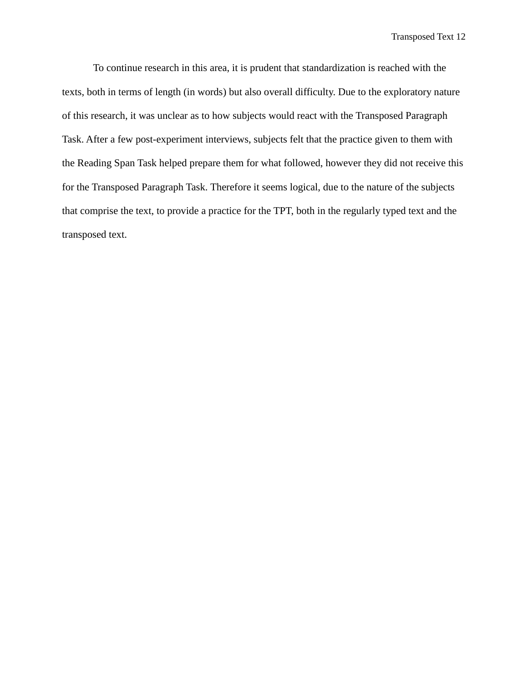To continue research in this area, it is prudent that standardization is reached with the texts, both in terms of length (in words) but also overall difficulty. Due to the exploratory nature of this research, it was unclear as to how subjects would react with the Transposed Paragraph Task. After a few post-experiment interviews, subjects felt that the practice given to them with the Reading Span Task helped prepare them for what followed, however they did not receive this for the Transposed Paragraph Task. Therefore it seems logical, due to the nature of the subjects that comprise the text, to provide a practice for the TPT, both in the regularly typed text and the transposed text.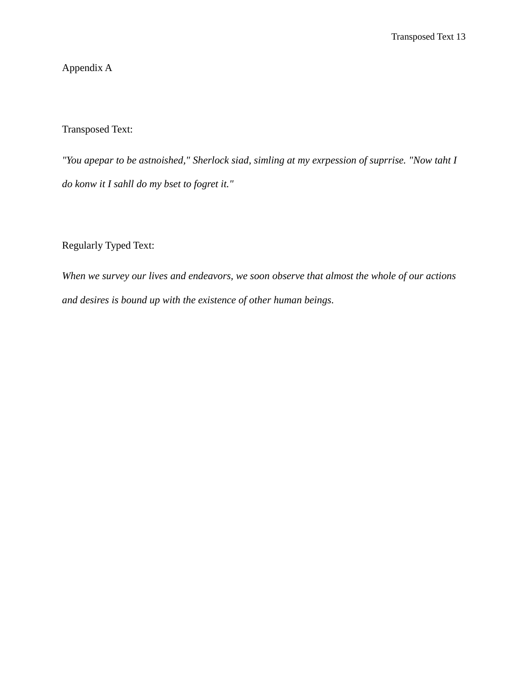# Appendix A

### Transposed Text:

*"You apepar to be astnoished," Sherlock siad, simling at my exrpession of suprrise. "Now taht I do konw it I sahll do my bset to fogret it."*

## Regularly Typed Text:

*When we survey our lives and endeavors, we soon observe that almost the whole of our actions and desires is bound up with the existence of other human beings.*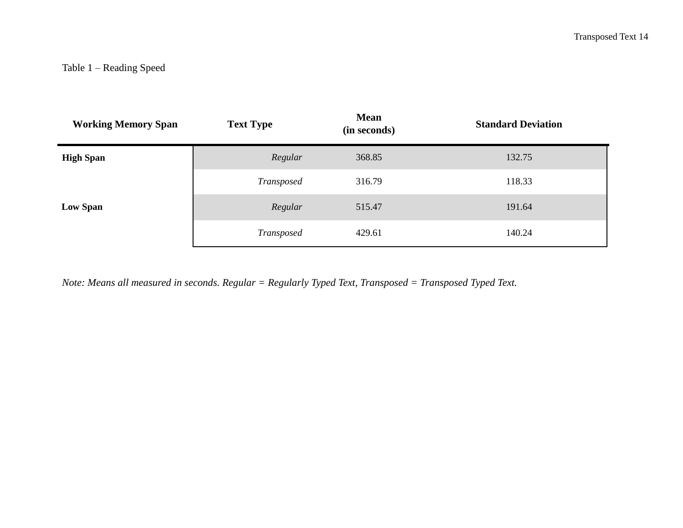| <b>Working Memory Span</b> | <b>Text Type</b> | <b>Mean</b><br>(in seconds) | <b>Standard Deviation</b> |
|----------------------------|------------------|-----------------------------|---------------------------|
| <b>High Span</b>           | Regular          | 368.85                      | 132.75                    |
|                            | Transposed       | 316.79                      | 118.33                    |
| <b>Low Span</b>            | Regular          | 515.47                      | 191.64                    |
|                            | Transposed       | 429.61                      | 140.24                    |

*Note: Means all measured in seconds. Regular = Regularly Typed Text, Transposed = Transposed Typed Text.*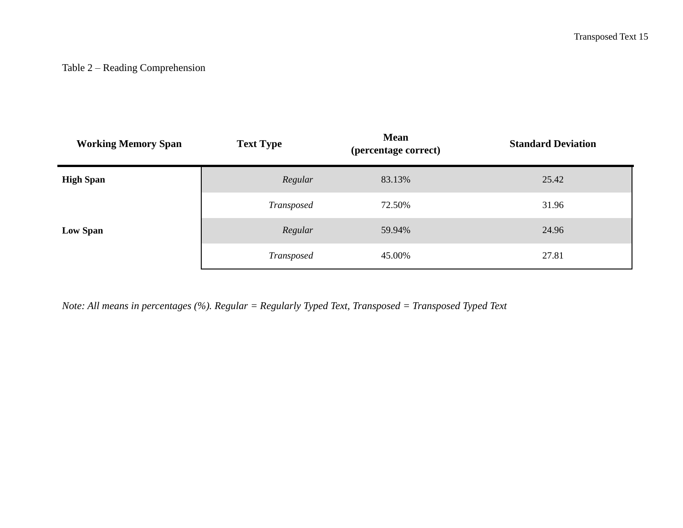# Table 2 – Reading Comprehension

| <b>Working Memory Span</b> | <b>Text Type</b> | <b>Mean</b><br>(percentage correct) | <b>Standard Deviation</b> |
|----------------------------|------------------|-------------------------------------|---------------------------|
| <b>High Span</b>           | Regular          | 83.13%                              | 25.42                     |
|                            | Transposed       | 72.50%                              | 31.96                     |
| Low Span                   | Regular          | 59.94%                              | 24.96                     |
|                            | Transposed       | 45.00%                              | 27.81                     |

*Note: All means in percentages (%). Regular = Regularly Typed Text, Transposed = Transposed Typed Text*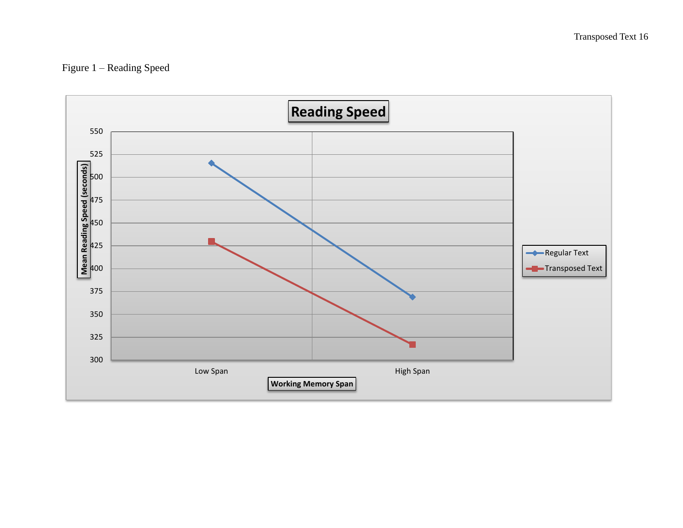Figure 1 – Reading Speed

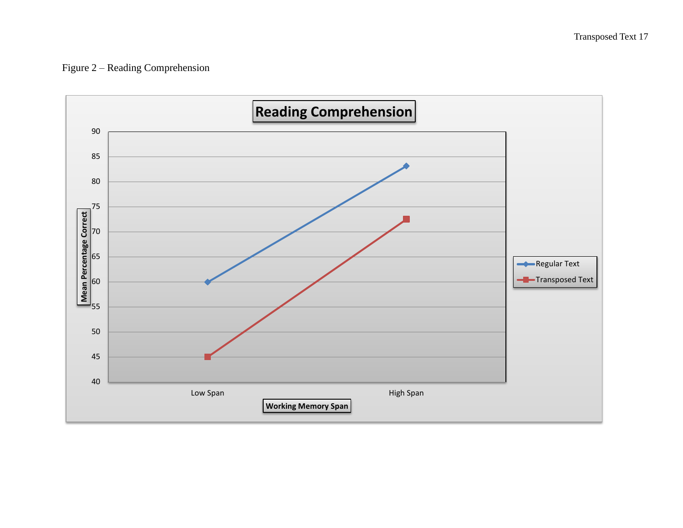# Figure 2 – Reading Comprehension

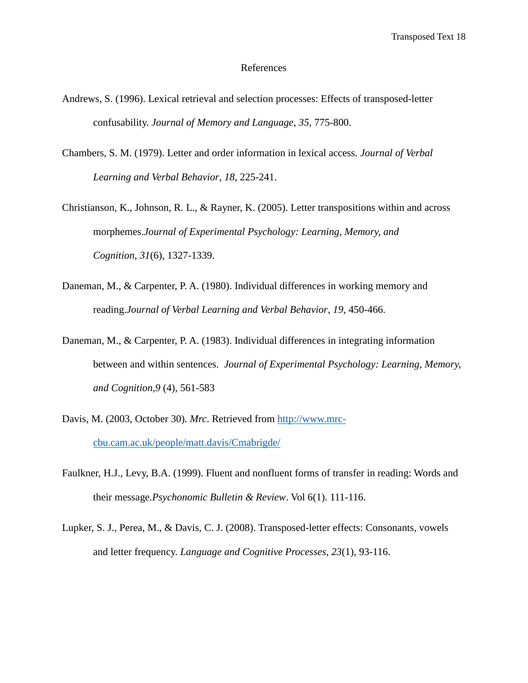#### References

- Andrews, S. (1996). Lexical retrieval and selection processes: Effects of transposed-letter confusability. *Journal of Memory and Language*, *35*, 775-800.
- Chambers, S. M. (1979). Letter and order information in lexical access. *Journal of Verbal Learning and Verbal Behavior*, *18*, 225-241.
- Christianson, K., Johnson, R. L., & Rayner, K. (2005). Letter transpositions within and across morphemes.*Journal of Experimental Psychology: Learning, Memory, and Cognition*, *31*(6), 1327-1339.
- Daneman, M., & Carpenter, P. A. (1980). Individual differences in working memory and reading.*Journal of Verbal Learning and Verbal Behavior*, *19*, 450-466.
- Daneman, M., & Carpenter, P. A. (1983). Individual differences in integrating information between and within sentences. *Journal of Experimental Psychology: Learning, Memory, and Cognition*,*9* (4), 561-583
- Davis, M. (2003, October 30). *Mrc*. Retrieved from [http://www.mrc](http://www.mrc-cbu.cam.ac.uk/people/matt.davis/Cmabrigde/)[cbu.cam.ac.uk/people/matt.davis/Cmabrigde/](http://www.mrc-cbu.cam.ac.uk/people/matt.davis/Cmabrigde/)
- Faulkner, H.J., Levy, B.A. (1999). Fluent and nonfluent forms of transfer in reading: Words and their message.*Psychonomic Bulletin & Review*. Vol 6(1). 111-116.
- Lupker, S. J., Perea, M., & Davis, C. J. (2008). Transposed-letter effects: Consonants, vowels and letter frequency. *Language and Cognitive Processes*, *23*(1), 93-116.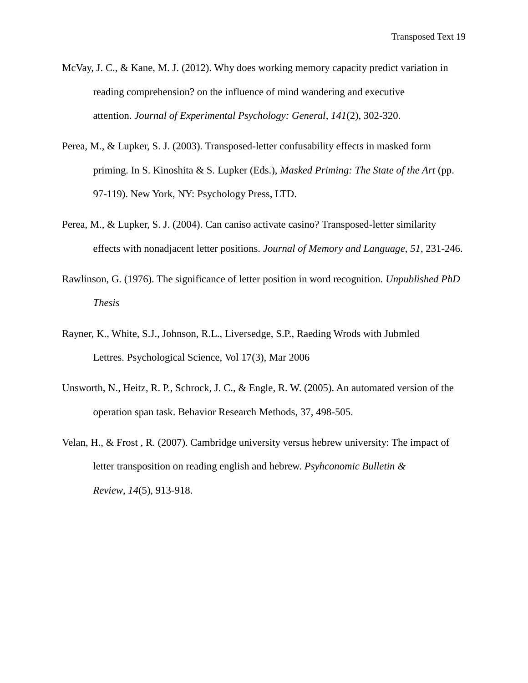- McVay, J. C., & Kane, M. J. (2012). Why does working memory capacity predict variation in reading comprehension? on the influence of mind wandering and executive attention. *Journal of Experimental Psychology: General*, *141*(2), 302-320.
- Perea, M., & Lupker, S. J. (2003). Transposed-letter confusability effects in masked form priming. In S. Kinoshita & S. Lupker (Eds.), *Masked Priming: The State of the Art* (pp. 97-119). New York, NY: Psychology Press, LTD.
- Perea, M., & Lupker, S. J. (2004). Can caniso activate casino? Transposed-letter similarity effects with nonadjacent letter positions. *Journal of Memory and Language*, *51*, 231-246.
- Rawlinson, G. (1976). The significance of letter position in word recognition. *Unpublished PhD Thesis*
- Rayner, K., White, S.J., Johnson, R.L., Liversedge, S.P., Raeding Wrods with Jubmled Lettres. Psychological Science, Vol 17(3), Mar 2006
- Unsworth, N., Heitz, R. P., Schrock, J. C., & Engle, R. W. (2005). An automated version of the operation span task. Behavior Research Methods, 37, 498-505.
- Velan, H., & Frost , R. (2007). Cambridge university versus hebrew university: The impact of letter transposition on reading english and hebrew. *Psyhconomic Bulletin & Review*, *14*(5), 913-918.